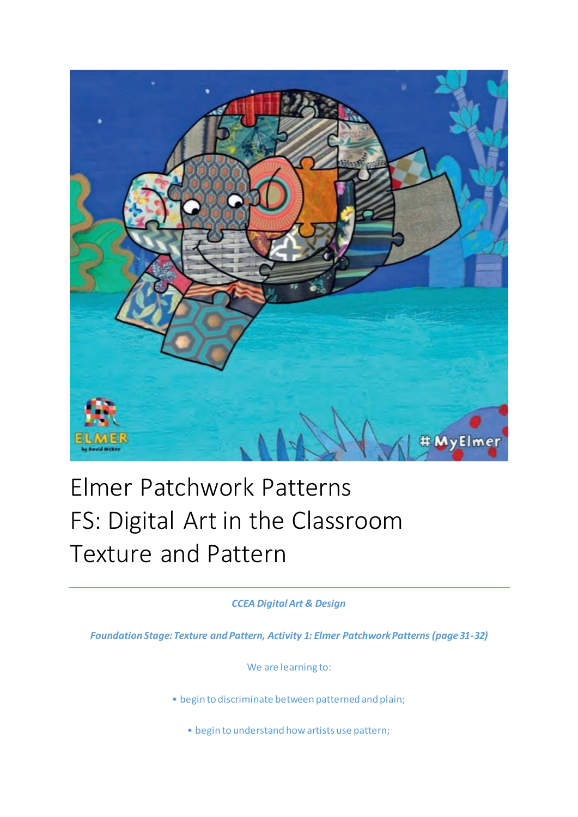

## Elmer Patchwork Patterns FS: Digital Art in the Classroom Texture and Pattern

*CCEA Digital Art & Design*

*Foundation Stage: Texture and Pattern, Activity 1: Elmer Patchwork Patterns (page 31-32)*

We are learning to:

• begin to discriminate between patterned and plain;

• begin to understand how artists use pattern;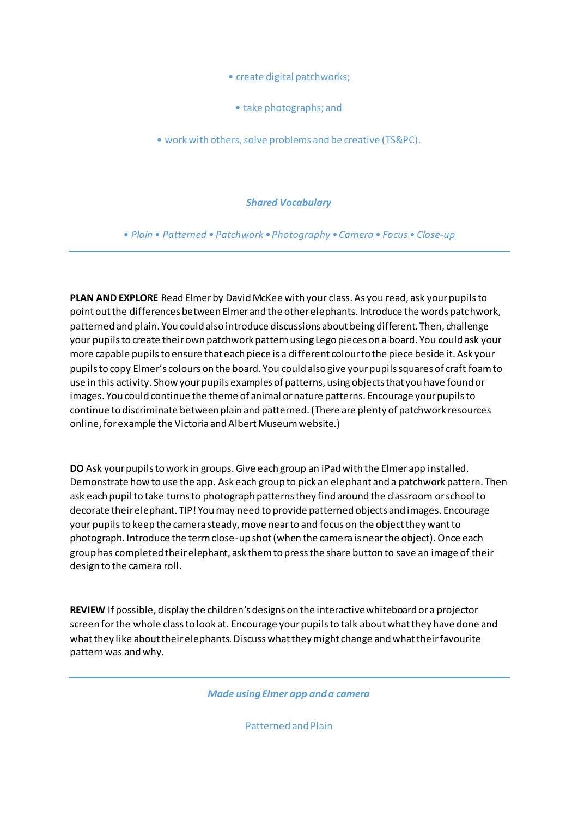• create digital patchworks;

• take photographs; and

• work with others, solve problems and be creative (TS&PC).

*Shared Vocabulary*

*• Plain • Patterned • Patchwork •Photography •Camera • Focus • Close-up*

**PLAN AND EXPLORE** Read Elmer by David McKee with your class. As you read, ask your pupils to point out the differences between Elmer and the other elephants. Introduce the words patchwork, patterned and plain. You could also introduce discussions about being different. Then, challenge your pupils to create their own patchwork pattern using Lego pieces on a board. You could ask your more capable pupils to ensure that each piece is a different colour to the piece beside it. Ask your pupils to copy Elmer's colours on the board. You could also give your pupils squares of craft foam to use in this activity. Show your pupils examples of patterns, using objects that you have found or images. You could continue the theme of animal or nature patterns. Encourage your pupils to continue to discriminate between plain and patterned. (There are plenty of patchwork resources online, for example the Victoria and Albert Museum website.)

**DO** Ask your pupils to work in groups. Give each group an iPad with the Elmer app installed. Demonstrate how to use the app. Ask each group to pick an elephant and a patchwork pattern. Then ask each pupil to take turns to photograph patterns they find around the classroom or school to decorate their elephant. TIP! You may need to provide patterned objects and images. Encourage your pupils to keep the camera steady, move near to and focus on the object they want to photograph. Introduce the term close-up shot (when the camera is near the object). Once each group has completed their elephant, ask them to press the share button to save an image of their design to the camera roll.

**REVIEW** If possible, display the children's designs on the interactive whiteboard or a projector screen for the whole class to look at. Encourage your pupils to talk about what they have done and what they like about their elephants. Discuss what they might change and what their favourite pattern was and why.

*Made using Elmer app and a camera*

Patterned and Plain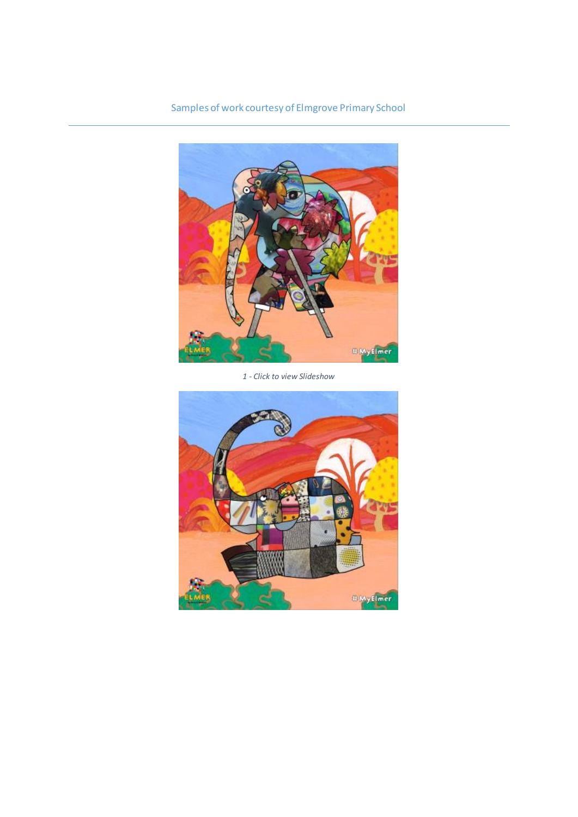Samples of work courtesy of Elmgrove Primary School



*1 - Click to view Slideshow*